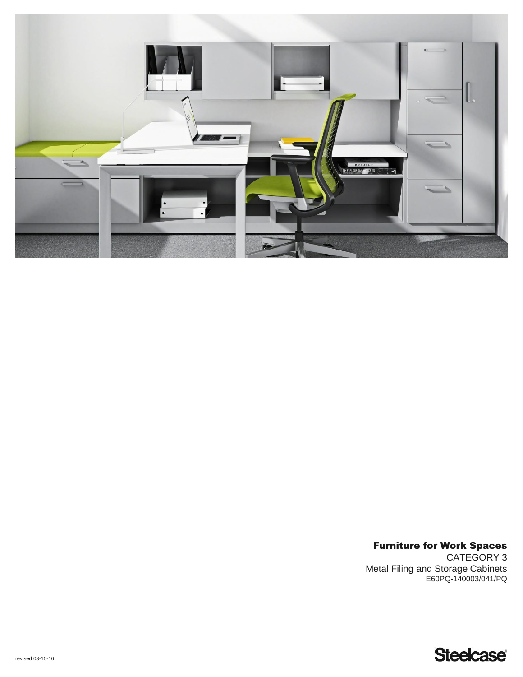

Furniture for Work Spaces CATEGORY 3 Metal Filing and Storage Cabinets E60PQ-140003/041/PQ

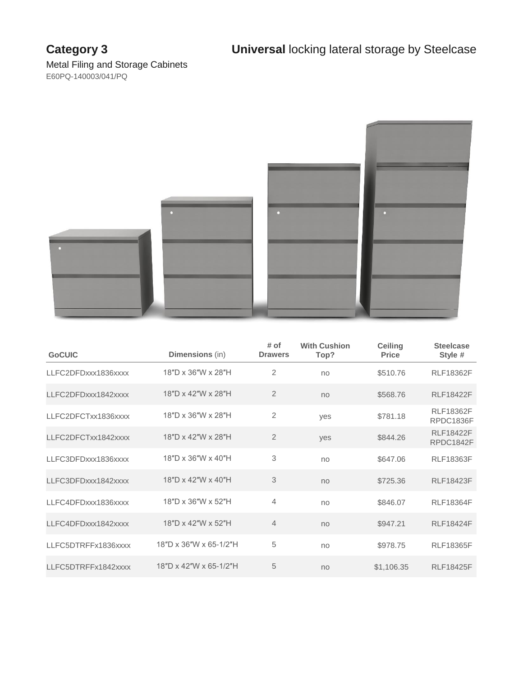

| <b>GoCUIC</b>       | Dimensions (in)        | # of<br><b>Drawers</b> | <b>With Cushion</b><br>Top? | <b>Ceiling</b><br><b>Price</b> | <b>Steelcase</b><br>Style #   |
|---------------------|------------------------|------------------------|-----------------------------|--------------------------------|-------------------------------|
| LLFC2DFDxxx1836xxxx | 18"D x 36"W x 28"H     | 2                      | no                          | \$510.76                       | <b>RLF18362F</b>              |
| LLFC2DFDxxx1842xxxx | 18"D x 42"W x 28"H     | $\overline{2}$         | no                          | \$568.76                       | <b>RLF18422F</b>              |
| LLFC2DFCTxx1836xxxx | 18"D x 36"W x 28"H     | $\mathbf{2}$           | yes                         | \$781.18                       | <b>RLF18362F</b><br>RPDC1836F |
| LLFC2DFCTxx1842xxxx | 18"D x 42"W x 28"H     | $\overline{2}$         | yes                         | \$844.26                       | <b>RLF18422F</b><br>RPDC1842F |
| LLFC3DFDxxx1836xxxx | 18"D x 36"W x 40"H     | 3                      | no                          | \$647.06                       | <b>RLF18363F</b>              |
| LLFC3DFDxxx1842xxxx | 18"D x 42"W x 40"H     | 3                      | no                          | \$725.36                       | <b>RLF18423F</b>              |
| LLFC4DFDxxx1836xxxx | 18"D x 36"W x 52"H     | 4                      | no                          | \$846.07                       | <b>RLF18364F</b>              |
| LLFC4DFDxxx1842xxxx | 18"D x 42"W x 52"H     | $\overline{4}$         | no                          | \$947.21                       | <b>RLF18424F</b>              |
| LLFC5DTRFFx1836xxxx | 18"D x 36"W x 65-1/2"H | 5                      | no                          | \$978.75                       | <b>RLF18365F</b>              |
| LLFC5DTRFFx1842xxxx | 18"D x 42"W x 65-1/2"H | 5                      | no                          | \$1,106.35                     | <b>RLF18425F</b>              |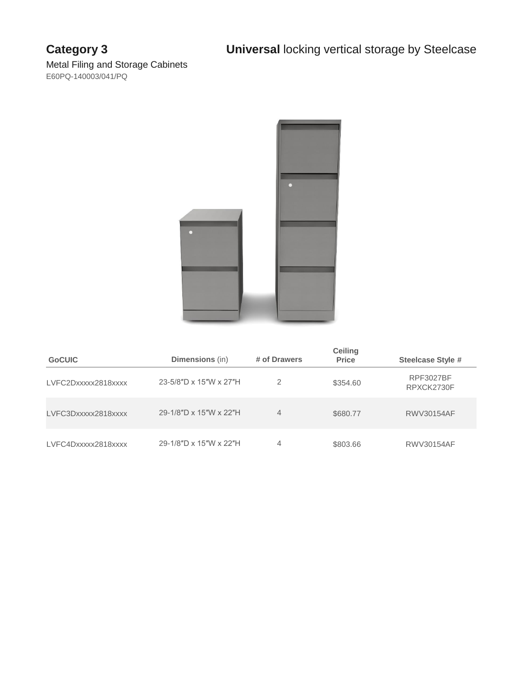

| <b>GoCUIC</b>       | <b>Dimensions</b> (in) | # of Drawers   | <b>Ceiling</b><br><b>Price</b> | <b>Steelcase Style #</b>       |
|---------------------|------------------------|----------------|--------------------------------|--------------------------------|
| LVFC2Dxxxxx2818xxxx | 23-5/8"D x 15"W x 27"H | 2              | \$354.60                       | <b>RPF3027BF</b><br>RPXCK2730F |
| LVFC3Dxxxxx2818xxxx | 29-1/8"D x 15"W x 22"H | $\overline{4}$ | \$680.77                       | <b>RWV30154AF</b>              |
| LVFC4Dxxxxx2818xxxx | 29-1/8"D x 15"W x 22"H | 4              | \$803.66                       | RWV30154AF                     |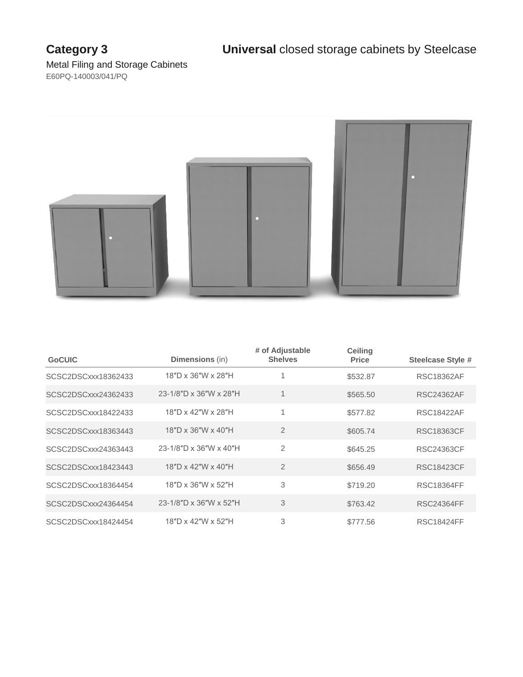

| <b>GoCUIC</b>       | Dimensions (in)                | # of Adjustable<br><b>Shelves</b> | <b>Ceiling</b><br><b>Price</b> | <b>Steelcase Style #</b> |
|---------------------|--------------------------------|-----------------------------------|--------------------------------|--------------------------|
| SCSC2DSCxxx18362433 | 18"D x 36"W x 28"H             |                                   | \$532.87                       | <b>RSC18362AF</b>        |
| SCSC2DSCxxx24362433 | 23-1/8"D x 36"W x 28"H         | 1                                 | \$565.50                       | RSC24362AF               |
| SCSC2DSCxxx18422433 | 18"D x 42"W x 28"H             | 1                                 | \$577.82                       | <b>RSC18422AF</b>        |
| SCSC2DSCxxx18363443 | $18"D \times 36"W \times 40"H$ | $\overline{2}$                    | \$605.74                       | RSC18363CF               |
| SCSC2DSCxxx24363443 | 23-1/8"D x 36"W x 40"H         | $\overline{2}$                    | \$645.25                       | RSC24363CF               |
| SCSC2DSCxxx18423443 | 18"D x 42"W x 40"H             | $\overline{2}$                    | \$656.49                       | <b>RSC18423CF</b>        |
| SCSC2DSCxxx18364454 | 18"D x 36"W x 52"H             | 3                                 | \$719.20                       | <b>RSC18364FF</b>        |
| SCSC2DSCxxx24364454 | 23-1/8"D x 36"W x 52"H         | 3                                 | \$763.42                       | <b>RSC24364FF</b>        |
| SCSC2DSCxxx18424454 | 18"D x 42"W x 52"H             | 3                                 | \$777.56                       | <b>RSC18424FF</b>        |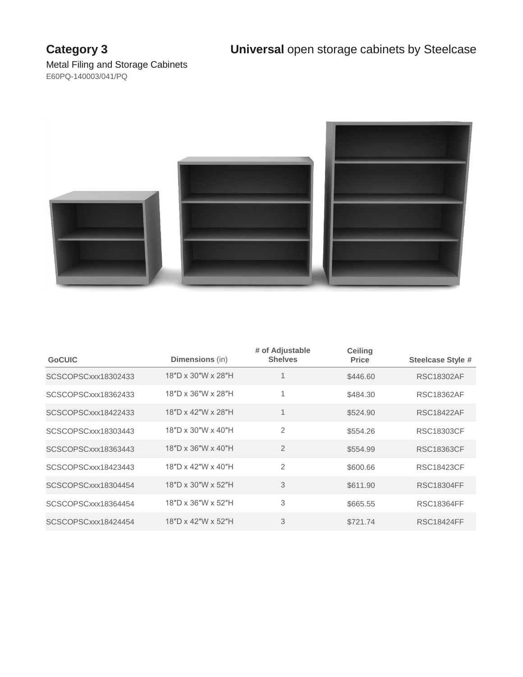

| <b>GoCUIC</b>       | <b>Dimensions</b> (in)         | # of Adjustable<br><b>Shelves</b> | <b>Ceiling</b><br><b>Price</b> | <b>Steelcase Style #</b> |
|---------------------|--------------------------------|-----------------------------------|--------------------------------|--------------------------|
| SCSCOPSCxxx18302433 | 18"D x 30"W x 28"H             |                                   | \$446.60                       | <b>RSC18302AF</b>        |
| SCSCOPSCxxx18362433 | 18"D x 36"W x 28"H             | 1                                 | \$484.30                       | <b>RSC18362AF</b>        |
| SCSCOPSCxxx18422433 | 18"D x 42"W x 28"H             | 1                                 | \$524.90                       | <b>RSC18422AF</b>        |
| SCSCOPSCxxx18303443 | 18"D x 30"W x 40"H             | $\overline{2}$                    | \$554.26                       | RSC18303CF               |
| SCSCOPSCxxx18363443 | 18"D x 36"W x 40"H             | $\overline{2}$                    | \$554.99                       | <b>RSC18363CF</b>        |
| SCSCOPSCxxx18423443 | $18"D \times 42"W \times 40"H$ | $\overline{2}$                    | \$600.66                       | <b>RSC18423CF</b>        |
| SCSCOPSCxxx18304454 | 18"D x 30"W x 52"H             | 3                                 | \$611.90                       | <b>RSC18304FF</b>        |
| SCSCOPSCxxx18364454 | 18"D x 36"W x 52"H             | 3                                 | \$665.55                       | <b>RSC18364FF</b>        |
| SCSCOPSCxxx18424454 | 18"D x 42"W x 52"H             | 3                                 | \$721.74                       | <b>RSC18424FF</b>        |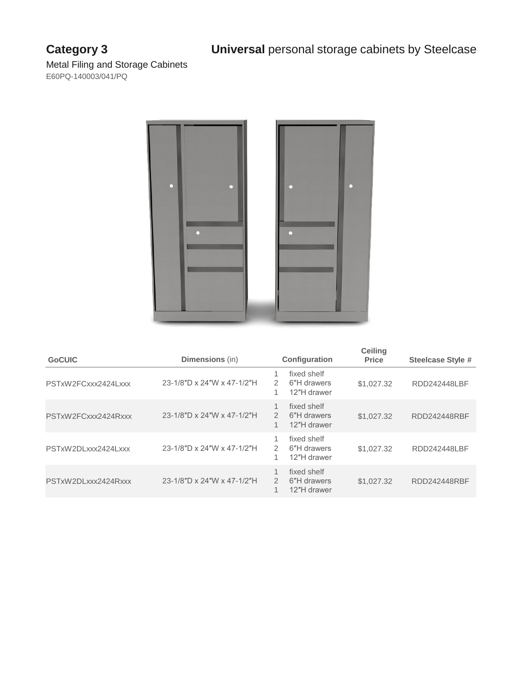# **Category 3 Universal** personal storage cabinets by Steelcase



| <b>GoCUIC</b>       | <b>Dimensions</b> (in)     |                         | <b>Configuration</b>                      | <b>Ceiling</b><br><b>Price</b> | <b>Steelcase Style #</b> |
|---------------------|----------------------------|-------------------------|-------------------------------------------|--------------------------------|--------------------------|
| PSTxW2FCxxx2424Lxxx | 23-1/8"D x 24"W x 47-1/2"H | 2<br>1                  | fixed shelf<br>6"H drawers<br>12"H drawer | \$1,027.32                     | RDD242448LBF             |
| PSTxW2FCxxx2424Rxxx | 23-1/8"D x 24"W x 47-1/2"H | 1<br>$\mathcal{P}$<br>1 | fixed shelf<br>6"H drawers<br>12"H drawer | \$1,027,32                     | RDD242448RBF             |
| PSTxW2DLxxx2424Lxxx | 23-1/8"D x 24"W x 47-1/2"H | 1<br>$\mathcal{P}$<br>1 | fixed shelf<br>6"H drawers<br>12"H drawer | \$1,027.32                     | RDD242448LBF             |
| PSTxW2DLxxx2424Rxxx | 23-1/8"D x 24"W x 47-1/2"H | 1<br>$\mathcal{P}$<br>1 | fixed shelf<br>6"H drawers<br>12"H drawer | \$1,027.32                     | RDD242448RBF             |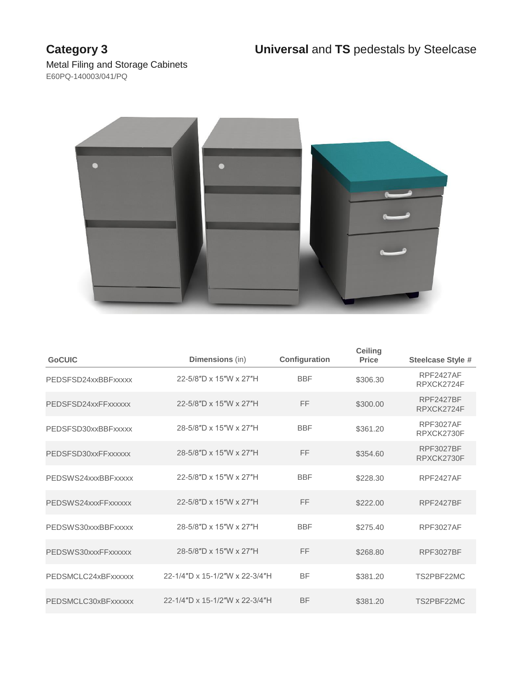

| <b>GoCUIC</b>       | <b>Dimensions</b> (in)         | Configuration | <b>Ceiling</b><br><b>Price</b> | <b>Steelcase Style #</b>       |
|---------------------|--------------------------------|---------------|--------------------------------|--------------------------------|
| PEDSFSD24xxBBFxxxxx | 22-5/8"D x 15"W x 27"H         | <b>BBF</b>    | \$306.30                       | <b>RPF2427AF</b><br>RPXCK2724F |
| PEDSFSD24xxFFxxxxxx | 22-5/8"D x 15"W x 27"H         | FF            | \$300.00                       | <b>RPF2427BF</b><br>RPXCK2724F |
| PEDSFSD30xxBBFxxxxx | 28-5/8"D x 15"W x 27"H         | <b>BBF</b>    | \$361.20                       | <b>RPF3027AF</b><br>RPXCK2730F |
| PEDSFSD30xxFFxxxxxx | 28-5/8"D x 15"W x 27"H         | FF            | \$354.60                       | <b>RPF3027BF</b><br>RPXCK2730F |
| PEDSWS24xxxBBFxxxxx | 22-5/8"D x 15"W x 27"H         | <b>BBF</b>    | \$228.30                       | <b>RPF2427AF</b>               |
| PEDSWS24xxxFFxxxxxx | 22-5/8"D x 15"W x 27"H         | FF            | \$222.00                       | <b>RPF2427BF</b>               |
| PEDSWS30xxxBBFxxxxx | 28-5/8"D x 15"W x 27"H         | <b>BBF</b>    | \$275.40                       | <b>RPF3027AF</b>               |
| PEDSWS30xxxFFxxxxxx | 28-5/8"D x 15"W x 27"H         | FF            | \$268.80                       | <b>RPF3027BF</b>               |
| PEDSMCLC24xBFxxxxxx | 22-1/4"D x 15-1/2"W x 22-3/4"H | <b>BF</b>     | \$381.20                       | TS2PBF22MC                     |
| PEDSMCLC30xBFxxxxxx | 22-1/4"D x 15-1/2"W x 22-3/4"H | <b>BF</b>     | \$381.20                       | TS2PBF22MC                     |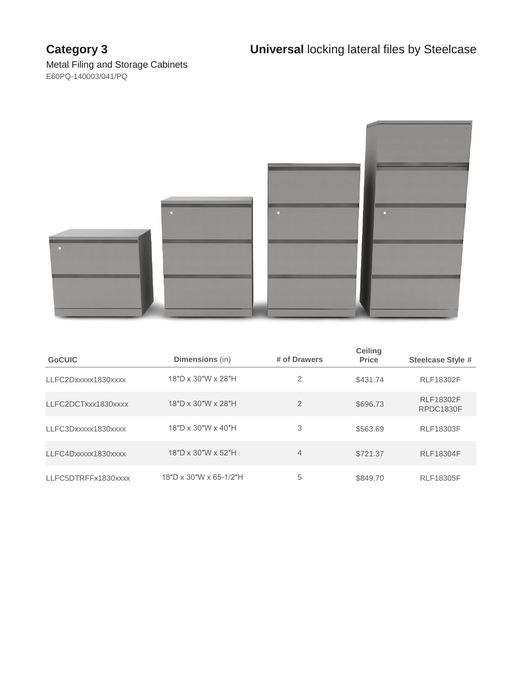

| <b>GoCUIC</b>       | <b>Dimensions</b> (in) | # of Drawers   | <b>Ceiling</b><br><b>Price</b> | <b>Steelcase Style #</b>      |
|---------------------|------------------------|----------------|--------------------------------|-------------------------------|
| LLFC2Dxxxxx1830xxxx | 18"D x 30"W x 28"H     | 2              | \$431.74                       | <b>RLF18302F</b>              |
| LLFC2DCTxxx1830xxxx | 18"D x 30"W x 28"H     | 2              | \$696.73                       | <b>RLF18302F</b><br>RPDC1830F |
| LLFC3Dxxxxx1830xxxx | 18"D x 30"W x 40"H     | 3              | \$563.69                       | <b>RLF18303F</b>              |
| LLFC4Dxxxxx1830xxxx | 18"D x 30"W x 52"H     | $\overline{4}$ | \$721.37                       | <b>RLF18304F</b>              |
| LLFC5DTRFFx1830xxxx | 18"D x 30"W x 65-1/2"H | 5              | \$849.70                       | <b>RLF18305F</b>              |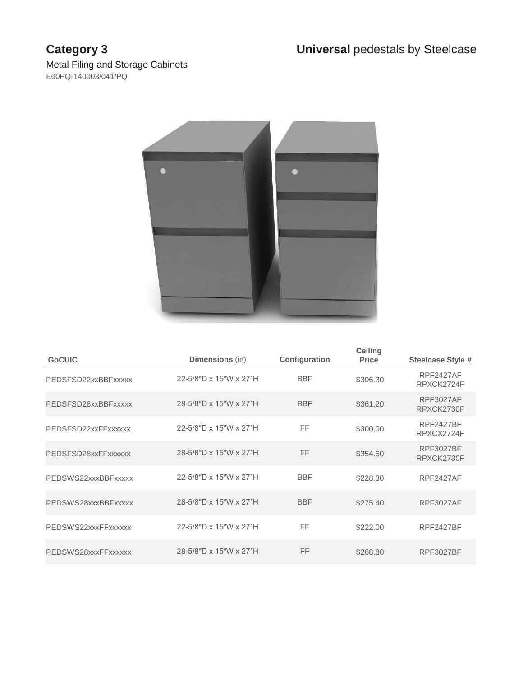

| <b>GoCUIC</b>       | <b>Dimensions</b> (in) | Configuration | <b>Ceiling</b><br><b>Price</b> | <b>Steelcase Style #</b>       |
|---------------------|------------------------|---------------|--------------------------------|--------------------------------|
| PEDSFSD22xxBBFxxxxx | 22-5/8"D x 15"W x 27"H | <b>BBF</b>    | \$306.30                       | <b>RPF2427AF</b><br>RPXCK2724F |
| PEDSFSD28xxBBFxxxxx | 28-5/8"D x 15"W x 27"H | <b>BBF</b>    | \$361.20                       | <b>RPF3027AF</b><br>RPXCK2730F |
| PEDSFSD22xxFFxxxxxx | 22-5/8"D x 15"W x 27"H | FF            | \$300.00                       | <b>RPF2427BF</b><br>RPXCX2724F |
| PEDSFSD28xxFFxxxxxx | 28-5/8"D x 15"W x 27"H | FF            | \$354.60                       | <b>RPF3027BF</b><br>RPXCK2730F |
| PEDSWS22xxxBBFxxxxx | 22-5/8"D x 15"W x 27"H | <b>BBF</b>    | \$228.30                       | <b>RPF2427AF</b>               |
| PEDSWS28xxxBBFxxxxx | 28-5/8"D x 15"W x 27"H | <b>BBF</b>    | \$275.40                       | <b>RPF3027AF</b>               |
| PEDSWS22xxxFFxxxxxx | 22-5/8"D x 15"W x 27"H | FF            | \$222.00                       | <b>RPF2427BF</b>               |
| PEDSWS28xxxFFxxxxxx | 28-5/8"D x 15"W x 27"H | FF            | \$268.80                       | <b>RPF3027BF</b>               |